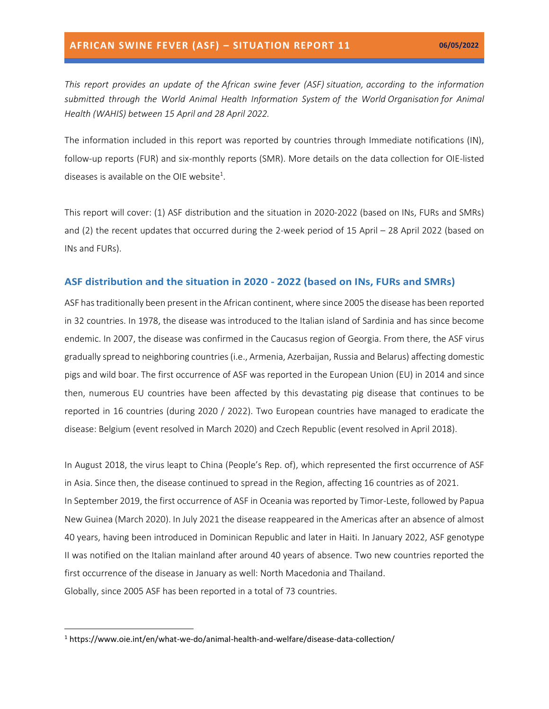*This report provides an update of the African swine fever (ASF) situation, according to the information submitted through the World Animal Health Information System of the World Organisation for Animal Health (WAHIS) between 15 April and 28 April 2022.*

The information included in this report was reported by countries through Immediate notifications (IN), follow-up reports (FUR) and six-monthly reports (SMR). More details on the data collection for OIE-listed diseases is available on the OIE website<sup>1</sup>.

This report will cover: (1) ASF distribution and the situation in 2020-2022 (based on INs, FURs and SMRs) and (2) the recent updates that occurred during the 2-week period of 15 April – 28 April 2022 (based on INs and FURs).

#### **ASF distribution and the situation in 2020 - 2022 (based on INs, FURs and SMRs)**

ASF has traditionally been present in the African continent, where since 2005 the disease has been reported in 32 countries. In 1978, the disease was introduced to the Italian island of Sardinia and has since become endemic. In 2007, the disease was confirmed in the Caucasus region of Georgia. From there, the ASF virus gradually spread to neighboring countries (i.e., Armenia, Azerbaijan, Russia and Belarus) affecting domestic pigs and wild boar. The first occurrence of ASF was reported in the European Union (EU) in 2014 and since then, numerous EU countries have been affected by this devastating pig disease that continues to be reported in 16 countries (during 2020 / 2022). Two European countries have managed to eradicate the disease: Belgium (event resolved in March 2020) and Czech Republic (event resolved in April 2018).

In August 2018, the virus leapt to China (People's Rep. of), which represented the first occurrence of ASF in Asia. Since then, the disease continued to spread in the Region, affecting 16 countries as of 2021. In September 2019, the first occurrence of ASF in Oceania was reported by Timor-Leste, followed by Papua New Guinea (March 2020). In July 2021 the disease reappeared in the Americas after an absence of almost 40 years, having been introduced in Dominican Republic and later in Haiti. In January 2022, ASF genotype II was notified on the Italian mainland after around 40 years of absence. Two new countries reported the first occurrence of the disease in January as well: North Macedonia and Thailand. Globally, since 2005 ASF has been reported in a total of 73 countries.

<sup>1</sup> https://www.oie.int/en/what-we-do/animal-health-and-welfare/disease-data-collection/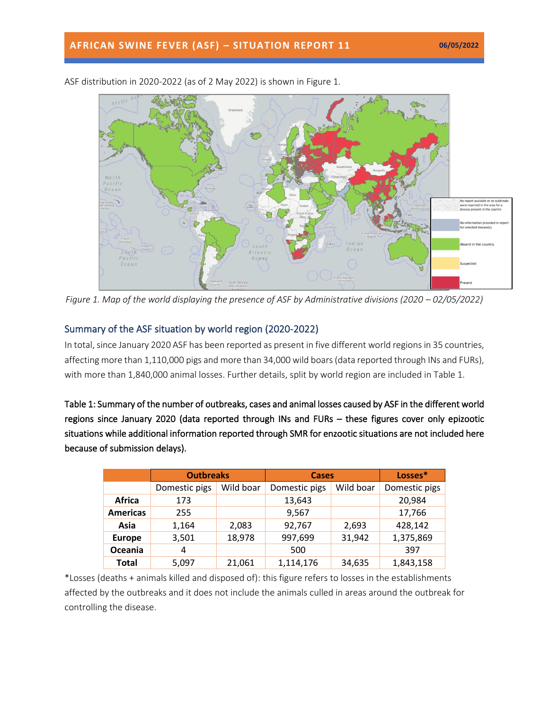

ASF distribution in 2020-2022 (as of 2 May 2022) is shown in Figure 1.

*Figure 1. Map of the world displaying the presence of ASF by Administrative divisions (2020 – 02/05/2022)* 

### Summary of the ASF situation by world region (2020-2022)

In total, since January 2020 ASF has been reported as present in five different world regions in 35 countries, affecting more than 1,110,000 pigs and more than 34,000 wild boars(data reported through INs and FURs), with more than 1,840,000 animal losses. Further details, split by world region are included in Table 1.

Table 1: Summary of the number of outbreaks, cases and animal losses caused by ASF in the different world regions since January 2020 (data reported through INs and FURs – these figures cover only epizootic situations while additional information reported through SMR for enzootic situations are not included here because of submission delays).

|                 | <b>Outbreaks</b> |           | <b>Cases</b>  |           | Losses*       |
|-----------------|------------------|-----------|---------------|-----------|---------------|
|                 | Domestic pigs    | Wild boar | Domestic pigs | Wild boar | Domestic pigs |
| <b>Africa</b>   | 173              |           | 13,643        |           | 20,984        |
| <b>Americas</b> | 255              |           | 9,567         |           | 17,766        |
| Asia            | 1,164            | 2,083     | 92,767        | 2,693     | 428,142       |
| <b>Europe</b>   | 3,501            | 18,978    | 997,699       | 31,942    | 1,375,869     |
| Oceania         | 4                |           | 500           |           | 397           |
| <b>Total</b>    | 5,097            | 21,061    | 1,114,176     | 34,635    | 1,843,158     |

\*Losses (deaths + animals killed and disposed of): this figure refers to losses in the establishments affected by the outbreaks and it does not include the animals culled in areas around the outbreak for controlling the disease.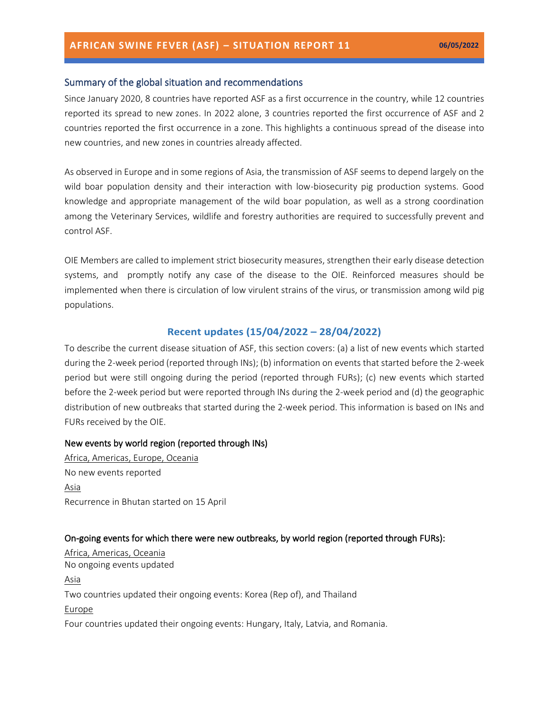#### Summary of the global situation and recommendations

Since January 2020, 8 countries have reported ASF as a first occurrence in the country, while 12 countries reported its spread to new zones. In 2022 alone, 3 countries reported the first occurrence of ASF and 2 countries reported the first occurrence in a zone. This highlights a continuous spread of the disease into new countries, and new zones in countries already affected.

As observed in Europe and in some regions of Asia, the transmission of ASF seems to depend largely on the wild boar population density and their interaction with low-biosecurity pig production systems. Good knowledge and appropriate management of the wild boar population, as well as a strong coordination among the Veterinary Services, wildlife and forestry authorities are required to successfully prevent and control ASF.

OIE Members are called to implement strict [biosecurity measures,](https://trello.com/c/jbPlhbq6/55-infographic-en-es-fr-ru-ch) strengthen their early disease detection systems, and promptly notify any case of the disease to the OIE. Reinforced measures should be implemented when there is circulation of low virulent strains of the virus, or transmission among wild pig populations.

#### **Recent updates (15/04/2022 – 28/04/2022)**

To describe the current disease situation of ASF, this section covers: (a) a list of new events which started during the 2-week period (reported through INs); (b) information on events that started before the 2-week period but were still ongoing during the period (reported through FURs); (c) new events which started before the 2-week period but were reported through INs during the 2-week period and (d) the geographic distribution of new outbreaks that started during the 2-week period. This information is based on INs and FURs received by the OIE.

#### New events by world region (reported through INs)

Africa, Americas, Europe, Oceania No new events reported Asia Recurrence in Bhutan started on 15 April

#### On-going events for which there were new outbreaks, by world region (reported through FURs):

Africa, Americas, Oceania No ongoing events updated Asia Two countries updated their ongoing events: Korea (Rep of), and Thailand Europe Four countries updated their ongoing events: Hungary, Italy, Latvia, and Romania.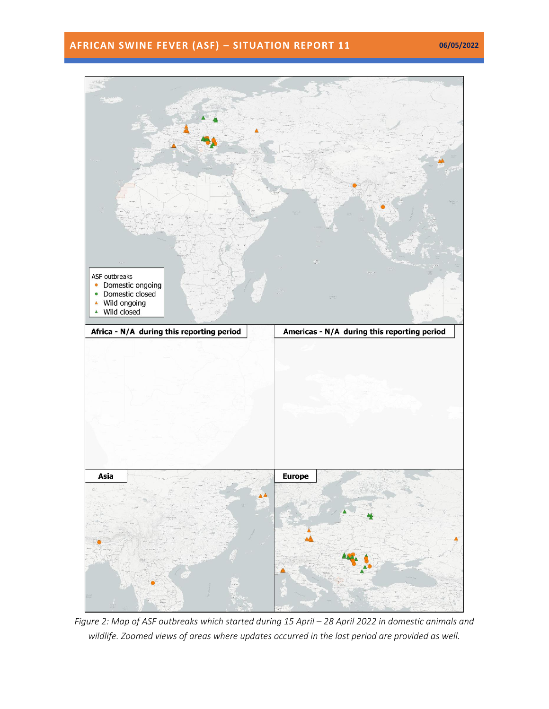## **AFRICAN SWINE FEVER (ASF) – SITUATION REPORT 11 06/05/2022**



*Figure 2: Map of ASF outbreaks which started during 15 April – 28 April 2022 in domestic animals and wildlife. Zoomed views of areas where updates occurred in the last period are provided as well.*